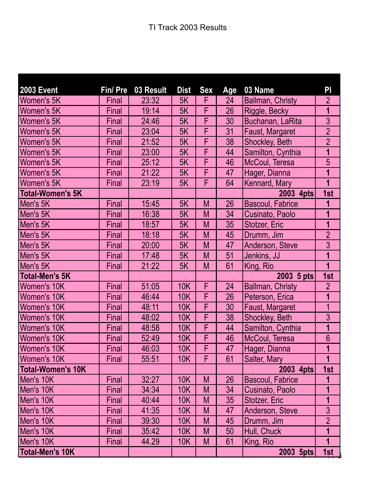| <b>2003 Event</b>        | Fin/ Pre | 03 Result | <b>Dist</b> | <b>Sex</b> | Age | 03 Name                 | PI                      |
|--------------------------|----------|-----------|-------------|------------|-----|-------------------------|-------------------------|
| Women's 5K               | Final    | 23:32     | 5K          | F          | 24  | Ballman, Christy        | $\overline{2}$          |
| Women's 5K               | Final    | 19:14     | 5K          | F          | 26  | Riggle, Becky           | 1                       |
| Women's 5K               | Final    | 24:46     | 5K          | F          | 30  | Buchanan, LaRita        | 3                       |
| <b>Women's 5K</b>        | Final    | 23:04     | 5K          | F          | 31  | Faust, Margaret         | $\overline{2}$          |
| Women's 5K               | Final    | 21:52     | 5K          | F          | 38  | Shockley, Beth          | $\overline{2}$          |
| Women's 5K               | Final    | 23:00     | 5K          | F          | 44  | Samilton, Cynthia       | 1                       |
| <b>Women's 5K</b>        | Final    | 25:12     | 5K          | F          | 46  | McCoul, Teresa          | 5                       |
| Women's 5K               | Final    | 21:22     | 5K          | F          | 47  | Hager, Dianna           | 1                       |
| <b>Women's 5K</b>        | Final    | 23:19     | 5K          | F          | 64  | Kennard, Mary           | $\overline{1}$          |
| <b>Total-Women's 5K</b>  |          |           |             |            |     | 2003 4pts               | 1st                     |
| Men's 5K                 | Final    | 15:45     | 5K          | M          | 26  | <b>Bascoul, Fabrice</b> | 1                       |
| Men's 5K                 | Final    | 16:38     | 5K          | M          | 34  | Cusinato, Paolo         | $\overline{\mathbf{1}}$ |
| Men's 5K                 | Final    | 18:57     | 5K          | M          | 35  | Stotzer, Eric           | 1                       |
| Men's 5K                 | Final    | 18:18     | 5K          | M          | 45  | Drumm, Jim              | $\overline{2}$          |
| Men's 5K                 | Final    | 20:00     | 5K          | M          | 47  | Anderson, Steve         | 3                       |
| Men's 5K                 | Final    | 17:48     | 5K          | M          | 51  | Jenkins, JJ             | $\overline{1}$          |
| Men's 5K                 | Final    | 21:22     | 5K          | M          | 61  | King, Rio               | 1                       |
| <b>Total-Men's 5K</b>    |          |           |             |            |     | 2003 5 pts              | 1st                     |
| Women's 10K              | Final    | 51:05     | <b>10K</b>  | F          | 24  | Ballman, Christy        | $\overline{2}$          |
| Women's 10K              | Final    | 46:44     | 10K         | F          | 26  | Peterson, Erica         | 1                       |
| Women's 10K              | Final    | 48:11     | <b>10K</b>  | F          | 30  | Faust, Margaret         | $\overline{1}$          |
| <b>Women's 10K</b>       | Final    | 48:02     | <b>10K</b>  | F          | 38  | Shockley, Beth          | $\overline{3}$          |
| <b>Women's 10K</b>       | Final    | 48:58     | <b>10K</b>  | F          | 44  | Samilton, Cynthia       | 1                       |
| Women's 10K              | Final    | 52:49     | 10K         | F          | 46  | McCoul, Teresa          | $6\phantom{.}6$         |
| <b>Women's 10K</b>       | Final    | 46:03     | <b>10K</b>  | F          | 47  | Hager, Dianna           | 1                       |
| Women's 10K              | Final    | 55:51     | 10K         | F          | 61  | Salter, Mary            | 1                       |
| <b>Total-Women's 10K</b> |          |           |             |            |     | 2003 4pts               | 1st                     |
| Men's 10K                | Final    | 32:27     | 10K         | M          | 26  | <b>Bascoul, Fabrice</b> | 1                       |
| Men's 10K                | Final    | 34:34     | 10K         | M          | 34  | Cusinato, Paolo         | 1                       |
| Men's 10K                | Final    | 40:44     | 10K         | M          | 35  | Stotzer, Eric           | 1                       |
| Men's 10K                | Final    | 41:35     | 10K         | M          | 47  | Anderson, Steve         | 3                       |
| Men's 10K                | Final    | 39:30     | 10K         | M          | 45  | Drumm, Jim              | $\overline{2}$          |
| Men's 10K                | Final    | 35:42     | 10K         | M          | 50  | Hull, Chuck             | 1                       |
| Men's 10K                | Final    | 44.29     | 10K         | M          | 61  | King, Rio               | $\mathbf 1$             |
| <b>Total-Men's 10K</b>   |          |           |             |            |     | $2003$ 5pts             | $\frac{1st}{1}$         |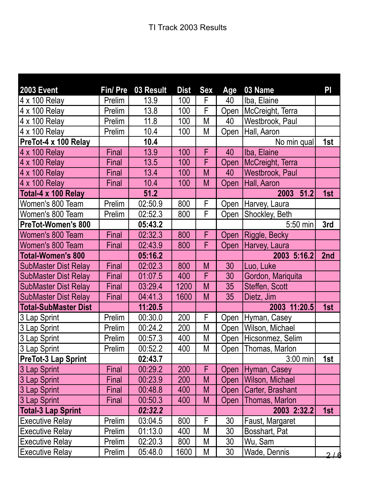| <b>2003 Event</b>           | Fin/Pre      | 03 Result | <b>Dist</b> | <b>Sex</b> | Age  | 03 Name             | PI  |
|-----------------------------|--------------|-----------|-------------|------------|------|---------------------|-----|
| 4 x 100 Relay               | Prelim       | 13.9      | 100         | F          | 40   | Iba, Elaine         |     |
| 4 x 100 Relay               | Prelim       | 13.8      | 100         | F          | Open | McCreight, Terra    |     |
| 4 x 100 Relay               | Prelim       | 11.8      | 100         | M          | 40   | Westbrook, Paul     |     |
| 4 x 100 Relay               | Prelim       | 10.4      | 100         | M          | Open | Hall, Aaron         |     |
| PreTot-4 x 100 Relay        |              | 10.4      |             |            |      | No min qual         | 1st |
| 4 x 100 Relay               | Final        | 13.9      | 100         | F          | 40   | Iba, Elaine         |     |
| 4 x 100 Relay               | Final        | 13.5      | 100         | F          | Open | McCreight, Terra    |     |
| 4 x 100 Relay               | Final        | 13.4      | 100         | M          | 40   | Westbrook, Paul     |     |
| 4 x 100 Relay               | Final        | 10.4      | 100         | M          | Open | Hall, Aaron         |     |
| Total-4 x 100 Relay         |              | 51.2      |             |            |      | 2003<br>51.2        | 1st |
| Women's 800 Team            | Prelim       | 02:50.9   | 800         | F          | Open | Harvey, Laura       |     |
| Women's 800 Team            | Prelim       | 02:52.3   | 800         | F          | Open | Shockley, Beth      |     |
| PreTot-Women's 800          |              | 05:43.2   |             |            |      | 5:50 min            | 3rd |
| Women's 800 Team            | <b>Final</b> | 02:32.3   | 800         | F          | Open | Riggle, Becky       |     |
| Women's 800 Team            | Final        | 02:43.9   | 800         | F          | Open | Harvey, Laura       |     |
| <b>Total-Women's 800</b>    |              | 05:16.2   |             |            |      | 2003 5:16.2         | 2nd |
| <b>SubMaster Dist Relay</b> | Final        | 02:02.3   | 800         | M          | 30   | Luo, Luke           |     |
| <b>SubMaster Dist Relay</b> | Final        | 01:07.5   | 400         | F          | 30   | Gordon, Mariquita   |     |
| <b>SubMaster Dist Relay</b> | Final        | 03:29.4   | 1200        | M          | 35   | Steffen, Scott      |     |
| <b>SubMaster Dist Relay</b> | Final        | 04:41.3   | 1600        | M          | 35   | Dietz, Jim          |     |
| <b>Total-SubMaster Dist</b> |              | 11:20.5   |             |            |      | 2003 11:20.5        | 1st |
| 3 Lap Sprint                | Prelim       | 00:30.0   | 200         | F          | Open | Hyman, Casey        |     |
| 3 Lap Sprint                | Prelim       | 00:24.2   | 200         | M          | Open | Wilson, Michael     |     |
| 3 Lap Sprint                | Prelim       | 00:57.3   | 400         | M          | Open | Hicsonmez, Selim    |     |
| 3 Lap Sprint                | Prelim       | 00:52.2   | 400         | M          |      | Open Thomas, Marlon |     |
| <b>PreTot-3 Lap Sprint</b>  |              | 02:43.7   |             |            |      | $3:00$ min          | 1st |
| 3 Lap Sprint                | Final        | 00:29.2   | 200         | F          | Open | Hyman, Casey        |     |
| 3 Lap Sprint                | Final        | 00:23.9   | 200         | M          | Open | Wilson, Michael     |     |
| 3 Lap Sprint                | Final        | 00:48.8   | 400         | M          | Open | Carter, Brashant    |     |
| 3 Lap Sprint                | Final        | 00:50.3   | 400         | M          | Open | Thomas, Marlon      |     |
| <b>Total-3 Lap Sprint</b>   |              | 02:32.2   |             |            |      | 2003 2:32.2         | 1st |
| <b>Executive Relay</b>      | Prelim       | 03:04.5   | 800         | F          | 30   | Faust, Margaret     |     |
| <b>Executive Relay</b>      | Prelim       | 01:13.0   | 400         | M          | 30   | Bosshart, Pat       |     |
| <b>Executive Relay</b>      | Prelim       | 02:20.3   | 800         | M          | 30   | Wu, Sam             |     |
| <b>Executive Relay</b>      | Prelim       | 05:48.0   | 1600        | M          | 30   | Wade, Dennis        | 2/6 |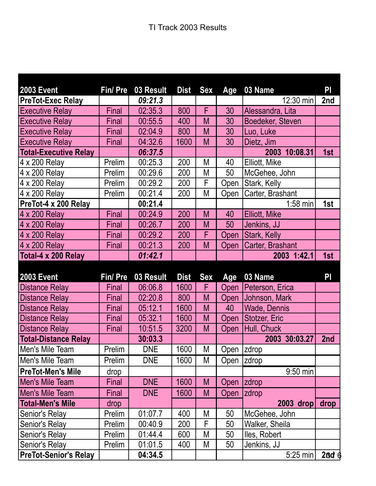| <b>2003 Event</b>                                                                                                       | Fin/Pre      | 03 Result          | <b>Dist</b> | <b>Sex</b> | Age         | 03 Name                           | PI        |
|-------------------------------------------------------------------------------------------------------------------------|--------------|--------------------|-------------|------------|-------------|-----------------------------------|-----------|
| <b>PreTot-Exec Relay</b>                                                                                                |              | 09:21.3            |             |            |             | 12:30 min                         | 2nd       |
| <b>Executive Relay</b>                                                                                                  | Final        | 02:35.3            | 800         | F          | 30          | Alessandra, Lita                  |           |
| <b>Executive Relay</b>                                                                                                  | Final        | 00:55.5            | 400         | M          | 30          | Boedeker, Steven                  |           |
| <b>Executive Relay</b>                                                                                                  | Final        | 02:04.9            | 800         | M          | 30          | Luo, Luke                         |           |
| <b>Executive Relay</b>                                                                                                  | Final        | 04:32.6            | 1600        | M          | 30          | Dietz, Jim                        |           |
| <b>Total-Executive Relay</b>                                                                                            |              | 06:37.5            |             |            |             | 2003 10:08.31                     | 1st       |
| 4 x 200 Relay                                                                                                           | Prelim       | 00:25.3            | 200         | M          | 40          | Elliott, Mike                     |           |
| 4 x 200 Relay                                                                                                           | Prelim       | 00:29.6            | 200         | M          | 50          | McGehee, John                     |           |
| 4 x 200 Relay                                                                                                           | Prelim       | 00:29.2            | 200         | F          | Open        | Stark, Kelly                      |           |
| 4 x 200 Relay                                                                                                           | Prelim       | 00:21.4            | 200         | M          | Open        | Carter, Brashant                  |           |
| PreTot-4 x 200 Relay                                                                                                    |              | 00:21.4            |             |            |             | $1:58$ min                        | 1st       |
| 4 x 200 Relay                                                                                                           | Final        | 00:24.9            | 200         | M          | 40          | <b>Elliott, Mike</b>              |           |
| 4 x 200 Relay                                                                                                           | <b>Final</b> | 00:26.7            | 200         | M          | 50          | Jenkins, JJ                       |           |
| 4 x 200 Relay                                                                                                           | Final        | 00:29.2            | 200         | F          | Open        | Stark, Kelly                      |           |
| 4 x 200 Relay                                                                                                           | Final        | 00:21.3            | 200         | M          | Open        | Carter, Brashant                  |           |
| Total-4 x 200 Relay                                                                                                     |              | 01:42.1            |             |            |             | 2003 1:42.1                       | 1st       |
|                                                                                                                         |              |                    |             |            |             |                                   |           |
|                                                                                                                         |              |                    |             |            |             |                                   |           |
| <b>2003 Event</b>                                                                                                       | Fin/Pre      | 03 Result          | <b>Dist</b> | <b>Sex</b> | Age         | 03 Name                           | PI        |
|                                                                                                                         | Final        | 06:06.8            | 1600        | F          | Open        | Peterson, Erica                   |           |
| <b>Distance Relay</b><br><b>Distance Relay</b>                                                                          | Final        | 02:20.8            | 800         | M          | <b>Open</b> | Johnson, Mark                     |           |
| <b>Distance Relay</b>                                                                                                   | Final        | 05:12.1            | 1600        | M          | 40          | Wade, Dennis                      |           |
|                                                                                                                         | Final        | 05:32.1            | 1600        | M          | Open        | Stotzer, Eric                     |           |
| <b>Distance Relay</b><br><b>Distance Relay</b>                                                                          | Final        | 10:51.5            | 3200        | M          | Open        | Hull, Chuck                       |           |
|                                                                                                                         |              | 30:03.3            |             |            |             | 2003 30:03.27                     | 2nd       |
|                                                                                                                         | Prelim       | DNE                | 1600        | Μ          | Open  zdrop |                                   |           |
|                                                                                                                         | Prelim       | <b>DNE</b>         | 1600        | М          | Open  zdrop |                                   |           |
|                                                                                                                         | drop         |                    |             |            |             | 9:50 min                          |           |
| <b>Total-Distance Relay</b><br>Men's Mile Team<br>Men's Mile Team<br><b>PreTot-Men's Mile</b><br><b>Men's Mile Team</b> | Final        | <b>DNE</b>         | 1600        | M          | Open        | <b>zdrop</b>                      |           |
| Men's Mile Team                                                                                                         | Final        | <b>DNE</b>         | 1600        | M          | Open        | zdrop                             |           |
| <b>Total-Men's Mile</b>                                                                                                 | drop         |                    |             |            |             | $2003$ drop                       | drop      |
| Senior's Relay                                                                                                          | Prelim       | 01:07.7            | 400         | Μ          | 50          | McGehee, John                     |           |
| Senior's Relay                                                                                                          | Prelim       | 00:40.9            | 200         | F          | 50          | Walker, Sheila                    |           |
| Senior's Relay                                                                                                          | Prelim       | 01:44.4            | 600         | Μ          | 50          | lles, Robert                      |           |
| Senior's Relay<br><b>PreTot-Senior's Relay</b>                                                                          | Prelim       | 01:01.5<br>04:34.5 | 400         | Μ          | 50          | Jenkins, JJ<br>$5:25 \text{ min}$ | $26d$ $6$ |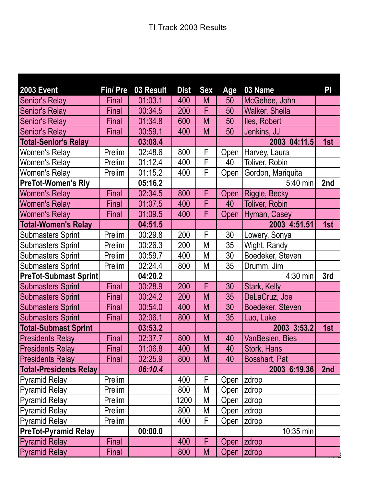| <b>2003 Event</b>             | Fin/Pre | 03 Result | <b>Dist</b> | <b>Sex</b>     | Age         | 03 Name               | $\mathsf{P}\mathsf{I}$ |
|-------------------------------|---------|-----------|-------------|----------------|-------------|-----------------------|------------------------|
| Senior's Relay                | Final   | 01:03.1   | 400         | M              | 50          | McGehee, John         |                        |
| Senior's Relay                | Final   | 00:34.5   | 200         | F              | 50          | <b>Walker, Sheila</b> |                        |
| <b>Senior's Relay</b>         | Final   | 01:34.8   | 600         | M              | 50          | lles, Robert          |                        |
| <b>Senior's Relay</b>         | Final   | 00:59.1   | 400         | M              | 50          | Jenkins, JJ           |                        |
| <b>Total-Senior's Relay</b>   |         | 03:08.4   |             |                |             | 2003 04:11.5          | 1st                    |
| <b>Women's Relay</b>          | Prelim  | 02:48.6   | 800         | F              | Open        | Harvey, Laura         |                        |
| <b>Women's Relay</b>          | Prelim  | 01:12.4   | 400         | F              | 40          | Toliver, Robin        |                        |
| <b>Women's Relay</b>          | Prelim  | 01:15.2   | 400         | F              | Open        | Gordon, Mariquita     |                        |
| <b>PreTot-Women's Rly</b>     |         | 05:16.2   |             |                |             | 5:40 min              | 2nd                    |
| <b>Women's Relay</b>          | Final   | 02:34.5   | 800         | F              | Open        | Riggle, Becky         |                        |
| <b>Women's Relay</b>          | Final   | 01:07.5   | 400         | $\overline{F}$ | 40          | <b>Toliver, Robin</b> |                        |
| <b>Women's Relay</b>          | Final   | 01:09.5   | 400         | F              | Open        | Hyman, Casey          |                        |
| <b>Total-Women's Relay</b>    |         | 04:51.5   |             |                |             | 2003 4:51.51          | 1st                    |
| <b>Submasters Sprint</b>      | Prelim  | 00:29.8   | 200         | F              | 30          | Lowery, Sonya         |                        |
| <b>Submasters Sprint</b>      | Prelim  | 00:26.3   | 200         | M              | 35          | Wight, Randy          |                        |
| <b>Submasters Sprint</b>      | Prelim  | 00:59.7   | 400         | M              | 30          | Boedeker, Steven      |                        |
| <b>Submasters Sprint</b>      | Prelim  | 02:24.4   | 800         | M              | 35          | Drumm, Jim            |                        |
| <b>PreTot-Submast Sprint</b>  |         | 04:20.2   |             |                |             | 4:30 min              | 3rd                    |
| <b>Submasters Sprint</b>      | Final   | 00:28.9   | 200         | F              | 30          | Stark, Kelly          |                        |
| <b>Submasters Sprint</b>      | Final   | 00:24.2   | 200         | M              | 35          | DeLaCruz, Joe         |                        |
| <b>Submasters Sprint</b>      | Final   | 00:54.0   | 400         | M              | 30          | Boedeker, Steven      |                        |
| <b>Submasters Sprint</b>      | Final   | 02:06.1   | 800         | M              | 35          | Luo, Luke             |                        |
| <b>Total-Submast Sprint</b>   |         | 03:53.2   |             |                |             | 2003 3:53.2           | 1st                    |
| <b>Presidents Relay</b>       | Final   | 02:37.7   | 800         | M              | 40          | VanBesien, Bies       |                        |
| <b>Presidents Relay</b>       | Final   | 01:06.8   | 400         | M              | 40          | Stork, Hans           |                        |
| <b>Presidents Relay</b>       | Final   | 02:25.9   | 800         | M              | 40          | Bosshart, Pat         |                        |
| <b>Total-Presidents Relay</b> |         | 06:10.4   |             |                |             | 2003 6:19.36          | 2nd                    |
| <b>Pyramid Relay</b>          | Prelim  |           | 400         | F              | Open        | zdrop                 |                        |
| <b>Pyramid Relay</b>          | Prelim  |           | 800         | Μ              | Open  zdrop |                       |                        |
| <b>Pyramid Relay</b>          | Prelim  |           | 1200        | M              | Open        | zdrop                 |                        |
| <b>Pyramid Relay</b>          | Prelim  |           | 800         | M              | Open        | zdrop                 |                        |
| <b>Pyramid Relay</b>          | Prelim  |           | 400         | F              | Open        | <b>zdrop</b>          |                        |
| <b>PreTot-Pyramid Relay</b>   |         | 00:00.0   |             |                |             | 10:35 min             |                        |
| <b>Pyramid Relay</b>          | Final   |           | 400         | F              | Open  zdrop |                       |                        |
| <b>Pyramid Relay</b>          | Final   |           | 800         | M              | Open        | <b>zdrop</b>          |                        |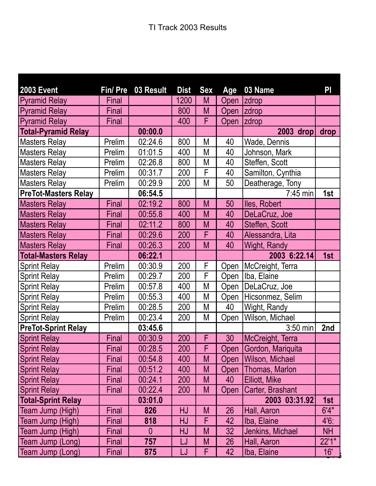| <b>2003 Event</b>           | Fin/ Pre     | 03 Result    | <b>Dist</b> | <b>Sex</b>              | Age         | 03 Name                | PI             |
|-----------------------------|--------------|--------------|-------------|-------------------------|-------------|------------------------|----------------|
| <b>Pyramid Relay</b>        | Final        |              | 1200        | M                       | Open        | <b>zdrop</b>           |                |
| <b>Pyramid Relay</b>        | Final        |              | 800         | M                       | <b>Open</b> | <b>zdrop</b>           |                |
| <b>Pyramid Relay</b>        | <b>Final</b> |              | 400         | F                       | Open        | <b>zdrop</b>           |                |
| <b>Total-Pyramid Relay</b>  |              | 00:00.0      |             |                         |             | 2003 drop              | drop           |
| <b>Masters Relay</b>        | Prelim       | 02:24.6      | 800         | Μ                       | 40          | Wade, Dennis           |                |
| <b>Masters Relay</b>        | Prelim       | 01:01.5      | 400         | M                       | 40          | Johnson, Mark          |                |
| <b>Masters Relay</b>        | Prelim       | 02:26.8      | 800         | M                       | 40          | Steffen, Scott         |                |
| <b>Masters Relay</b>        | Prelim       | 00:31.7      | 200         | F                       | 40          | Samilton, Cynthia      |                |
| <b>Masters Relay</b>        | Prelim       | 00:29.9      | 200         | M                       | 50          | Deatherage, Tony       |                |
| <b>PreTot-Masters Relay</b> |              | 06:54.5      |             |                         |             | $7:45$ min             | 1st            |
| <b>Masters Relay</b>        | Final        | 02:19.2      | 800         | M                       | 50          | lles, Robert           |                |
| <b>Masters Relay</b>        | Final        | 00:55.8      | 400         | M                       | 40          | DeLaCruz, Joe          |                |
| <b>Masters Relay</b>        | Final        | 02:11.2      | 800         | M                       | 40          | Steffen, Scott         |                |
| <b>Masters Relay</b>        | Final        | 00:29.6      | 200         | F                       | 40          | Alessandra, Lita       |                |
| <b>Masters Relay</b>        | Final        | 00:26.3      | 200         | M                       | 40          | <b>Wight, Randy</b>    |                |
| <b>Total-Masters Relay</b>  |              | 06:22.1      |             |                         |             | 2003 6:22.14           | 1st            |
| <b>Sprint Relay</b>         | Prelim       | 00:30.9      | 200         | F                       | Open        | McCreight, Terra       |                |
| <b>Sprint Relay</b>         | Prelim       | 00:29.7      | 200         | $\overline{\mathsf{F}}$ | Open        | Iba, Elaine            |                |
| <b>Sprint Relay</b>         | Prelim       | 00:57.8      | 400         | M                       | Open        | DeLaCruz, Joe          |                |
| <b>Sprint Relay</b>         | Prelim       | 00:55.3      | 400         | М                       | Open        | Hicsonmez, Selim       |                |
| <b>Sprint Relay</b>         | Prelim       | 00:28.5      | 200         | M                       | 40          | Wight, Randy           |                |
| <b>Sprint Relay</b>         | Prelim       | 00:23.4      | 200         | M                       | Open        | Wilson, Michael        |                |
| <b>PreTot-Sprint Relay</b>  |              | 03:45.6      |             |                         |             | 3:50 min               | 2nd            |
| <b>Sprint Relay</b>         | Final        | 00:30.9      | 200         | F                       | 30          | McCreight, Terra       |                |
| <b>Sprint Relay</b>         | Final        | 00:28.5      | 200         | F                       |             | Open Gordon, Mariquita |                |
| <b>Sprint Relay</b>         | Final        | 00:54.8      | 400         | M                       | Open        | Wilson, Michael        |                |
| <b>Sprint Relay</b>         | Final        | 00:51.2      | 400         | M                       | Open        | Thomas, Marlon         |                |
| <b>Sprint Relay</b>         | Final        | 00:24.1      | 200         | M                       | 40          | Elliott, Mike          |                |
| <b>Sprint Relay</b>         | Final        | 00:22.4      | 200         | M                       | Open        | Carter, Brashant       |                |
| <b>Total-Sprint Relay</b>   |              | 03:01.0      |             |                         |             | 2003 03:31.92          | 1st            |
| Team Jump (High)            | Final        | 826          | HJ          | M                       | 26          | Hall, Aaron            | 6'4"           |
| Team Jump (High)            | Final        | 818          | HJ          | F                       | 42          | Iba, Elaine            | 4'6:           |
| Team Jump (High)            | Final        | $\mathbf{0}$ | HJ          | M                       | 32          | Jenkins, Michael       | <b>NH</b>      |
| Team Jump (Long)            | Final        | 757          | LJ          | M                       | 26          | Hall, Aaron            | 22'1"          |
| Team Jump (Long)            | Final        | 875          | LJ          | F                       | 42          | Iba, Elaine            | $\frac{16}{2}$ |